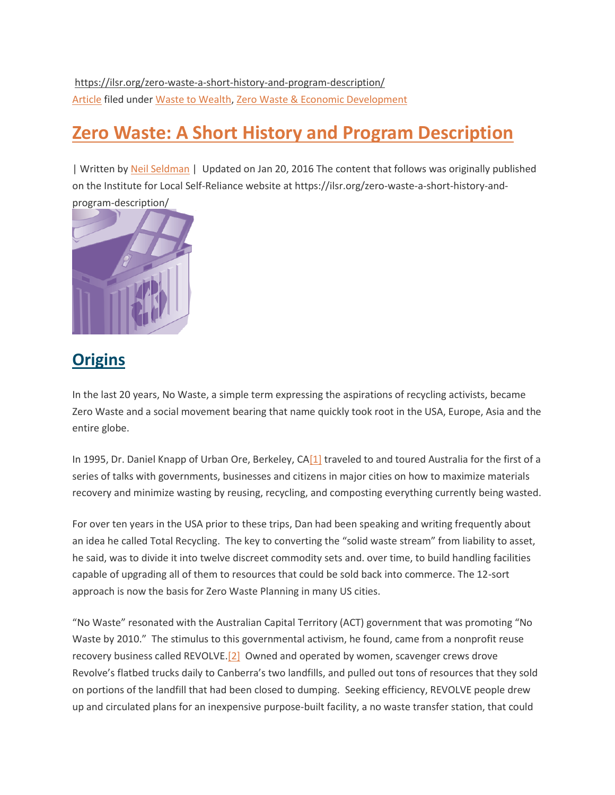https://ilsr.org/zero-waste-a-short-history-and-program-description/ [Article](https://ilsr.org/content-types/article-archive/) filed under [Waste to Wealth,](https://ilsr.org/initiatives/waste-to-wealth/) [Zero Waste & Economic Development](https://ilsr.org/initiatives/zero-waste-and-economic-development/)

## **[Zero Waste: A Short History and Program Description](https://ilsr.org/zero-waste-a-short-history-and-program-description/)**

| Written by [Neil Seldman](https://ilsr.org/author/neils/) | Updated on Jan 20, 2016 The content that follows was originally published on the Institute for Local Self-Reliance website at https://ilsr.org/zero-waste-a-short-history-and-



## **Origins**

In the last 20 years, No Waste, a simple term expressing the aspirations of recycling activists, became Zero Waste and a social movement bearing that name quickly took root in the USA, Europe, Asia and the entire globe.

In 1995, Dr. Daniel Knapp of Urban Ore, Berkeley, C[A\[1\]](https://ilsr.org/zero-waste-a-short-history-and-program-description/#_ftn1) traveled to and toured Australia for the first of a series of talks with governments, businesses and citizens in major cities on how to maximize materials recovery and minimize wasting by reusing, recycling, and composting everything currently being wasted.

For over ten years in the USA prior to these trips, Dan had been speaking and writing frequently about an idea he called Total Recycling. The key to converting the "solid waste stream" from liability to asset, he said, was to divide it into twelve discreet commodity sets and. over time, to build handling facilities capable of upgrading all of them to resources that could be sold back into commerce. The 12-sort approach is now the basis for Zero Waste Planning in many US cities.

"No Waste" resonated with the Australian Capital Territory (ACT) government that was promoting "No Waste by 2010." The stimulus to this governmental activism, he found, came from a nonprofit reuse recovery business called REVOLVE[.\[2\]](https://ilsr.org/zero-waste-a-short-history-and-program-description/#_ftn2) Owned and operated by women, scavenger crews drove Revolve's flatbed trucks daily to Canberra's two landfills, and pulled out tons of resources that they sold on portions of the landfill that had been closed to dumping. Seeking efficiency, REVOLVE people drew up and circulated plans for an inexpensive purpose-built facility, a no waste transfer station, that could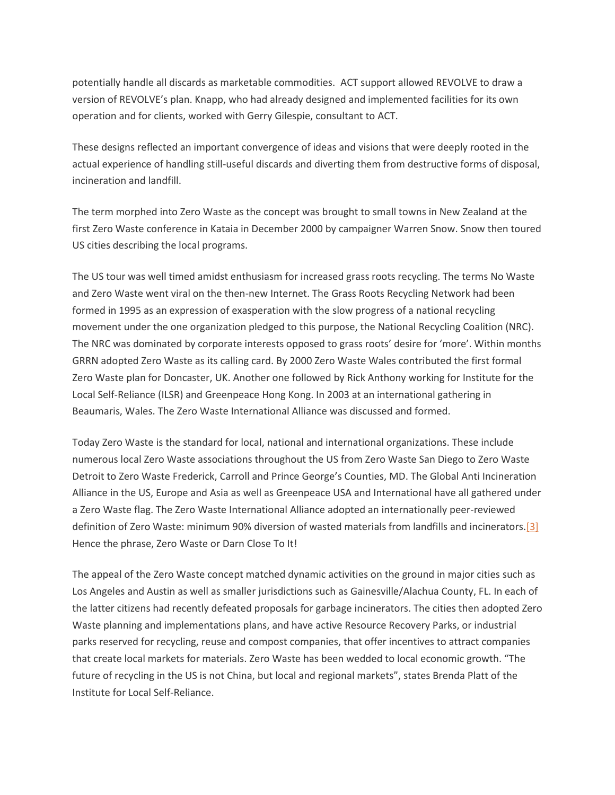potentially handle all discards as marketable commodities. ACT support allowed REVOLVE to draw a version of REVOLVE's plan. Knapp, who had already designed and implemented facilities for its own operation and for clients, worked with Gerry Gilespie, consultant to ACT.

These designs reflected an important convergence of ideas and visions that were deeply rooted in the actual experience of handling still-useful discards and diverting them from destructive forms of disposal, incineration and landfill.

The term morphed into Zero Waste as the concept was brought to small towns in New Zealand at the first Zero Waste conference in Kataia in December 2000 by campaigner Warren Snow. Snow then toured US cities describing the local programs.

The US tour was well timed amidst enthusiasm for increased grass roots recycling. The terms No Waste and Zero Waste went viral on the then-new Internet. The Grass Roots Recycling Network had been formed in 1995 as an expression of exasperation with the slow progress of a national recycling movement under the one organization pledged to this purpose, the National Recycling Coalition (NRC). The NRC was dominated by corporate interests opposed to grass roots' desire for 'more'. Within months GRRN adopted Zero Waste as its calling card. By 2000 Zero Waste Wales contributed the first formal Zero Waste plan for Doncaster, UK. Another one followed by Rick Anthony working for Institute for the Local Self-Reliance (ILSR) and Greenpeace Hong Kong. In 2003 at an international gathering in Beaumaris, Wales. The Zero Waste International Alliance was discussed and formed.

Today Zero Waste is the standard for local, national and international organizations. These include numerous local Zero Waste associations throughout the US from Zero Waste San Diego to Zero Waste Detroit to Zero Waste Frederick, Carroll and Prince George's Counties, MD. The Global Anti Incineration Alliance in the US, Europe and Asia as well as Greenpeace USA and International have all gathered under a Zero Waste flag. The Zero Waste International Alliance adopted an internationally peer-reviewed definition of Zero Waste: minimum 90% diversion of wasted materials from landfills and incinerators[.\[3\]](https://ilsr.org/zero-waste-a-short-history-and-program-description/#_ftn3) Hence the phrase, Zero Waste or Darn Close To It!

The appeal of the Zero Waste concept matched dynamic activities on the ground in major cities such as Los Angeles and Austin as well as smaller jurisdictions such as Gainesville/Alachua County, FL. In each of the latter citizens had recently defeated proposals for garbage incinerators. The cities then adopted Zero Waste planning and implementations plans, and have active Resource Recovery Parks, or industrial parks reserved for recycling, reuse and compost companies, that offer incentives to attract companies that create local markets for materials. Zero Waste has been wedded to local economic growth. "The future of recycling in the US is not China, but local and regional markets", states Brenda Platt of the Institute for Local Self-Reliance.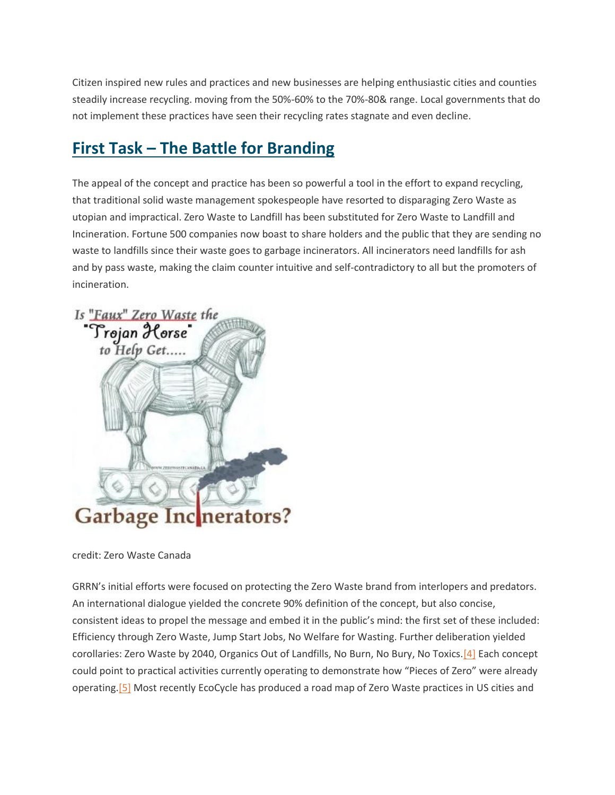Citizen inspired new rules and practices and new businesses are helping enthusiastic cities and counties steadily increase recycling. moving from the 50%-60% to the 70%-80& range. Local governments that do not implement these practices have seen their recycling rates stagnate and even decline.

## **First Task – The Battle for Branding**

The appeal of the concept and practice has been so powerful a tool in the effort to expand recycling, that traditional solid waste management spokespeople have resorted to disparaging Zero Waste as utopian and impractical. Zero Waste to Landfill has been substituted for Zero Waste to Landfill and Incineration. Fortune 500 companies now boast to share holders and the public that they are sending no waste to landfills since their waste goes to garbage incinerators. All incinerators need landfills for ash and by pass waste, making the claim counter intuitive and self-contradictory to all but the promoters of incineration.



credit: Zero Waste Canada

GRRN's initial efforts were focused on protecting the Zero Waste brand from interlopers and predators. An international dialogue yielded the concrete 90% definition of the concept, but also concise, consistent ideas to propel the message and embed it in the public's mind: the first set of these included: Efficiency through Zero Waste, Jump Start Jobs, No Welfare for Wasting. Further deliberation yielded corollaries: Zero Waste by 2040, Organics Out of Landfills, No Burn, No Bury, No Toxics[.\[4\]](https://ilsr.org/zero-waste-a-short-history-and-program-description/#_ftn4) Each concept could point to practical activities currently operating to demonstrate how "Pieces of Zero" were already operating[.\[5\]](https://ilsr.org/zero-waste-a-short-history-and-program-description/#_ftn5) Most recently EcoCycle has produced a road map of Zero Waste practices in US cities and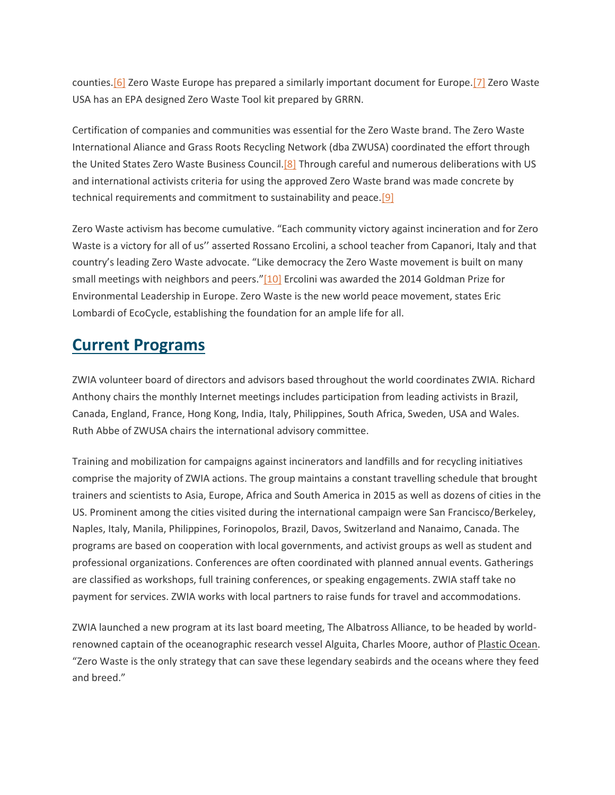counties[.\[6\]](https://ilsr.org/zero-waste-a-short-history-and-program-description/#_ftn6) Zero Waste Europe has prepared a similarly important document for Europe[.\[7\]](https://ilsr.org/zero-waste-a-short-history-and-program-description/#_ftn7) Zero Waste USA has an EPA designed Zero Waste Tool kit prepared by GRRN.

Certification of companies and communities was essential for the Zero Waste brand. The Zero Waste International Aliance and Grass Roots Recycling Network (dba ZWUSA) coordinated the effort through the United States Zero Waste Business Council.<sup>[8]</sup> Through careful and numerous deliberations with US and international activists criteria for using the approved Zero Waste brand was made concrete by technical requirements and commitment to sustainability and peace[.\[9\]](https://ilsr.org/zero-waste-a-short-history-and-program-description/#_ftn9)

Zero Waste activism has become cumulative. "Each community victory against incineration and for Zero Waste is a victory for all of us'' asserted Rossano Ercolini, a school teacher from Capanori, Italy and that country's leading Zero Waste advocate. "Like democracy the Zero Waste movement is built on many small meetings with neighbors and peers."[\[10\]](https://ilsr.org/zero-waste-a-short-history-and-program-description/#_ftn10) Ercolini was awarded the 2014 Goldman Prize for Environmental Leadership in Europe. Zero Waste is the new world peace movement, states Eric Lombardi of EcoCycle, establishing the foundation for an ample life for all.

#### **Current Programs**

ZWIA volunteer board of directors and advisors based throughout the world coordinates ZWIA. Richard Anthony chairs the monthly Internet meetings includes participation from leading activists in Brazil, Canada, England, France, Hong Kong, India, Italy, Philippines, South Africa, Sweden, USA and Wales. Ruth Abbe of ZWUSA chairs the international advisory committee.

Training and mobilization for campaigns against incinerators and landfills and for recycling initiatives comprise the majority of ZWIA actions. The group maintains a constant travelling schedule that brought trainers and scientists to Asia, Europe, Africa and South America in 2015 as well as dozens of cities in the US. Prominent among the cities visited during the international campaign were San Francisco/Berkeley, Naples, Italy, Manila, Philippines, Forinopolos, Brazil, Davos, Switzerland and Nanaimo, Canada. The programs are based on cooperation with local governments, and activist groups as well as student and professional organizations. Conferences are often coordinated with planned annual events. Gatherings are classified as workshops, full training conferences, or speaking engagements. ZWIA staff take no payment for services. ZWIA works with local partners to raise funds for travel and accommodations.

ZWIA launched a new program at its last board meeting, The Albatross Alliance, to be headed by worldrenowned captain of the oceanographic research vessel Alguita, Charles Moore, author of Plastic Ocean. "Zero Waste is the only strategy that can save these legendary seabirds and the oceans where they feed and breed."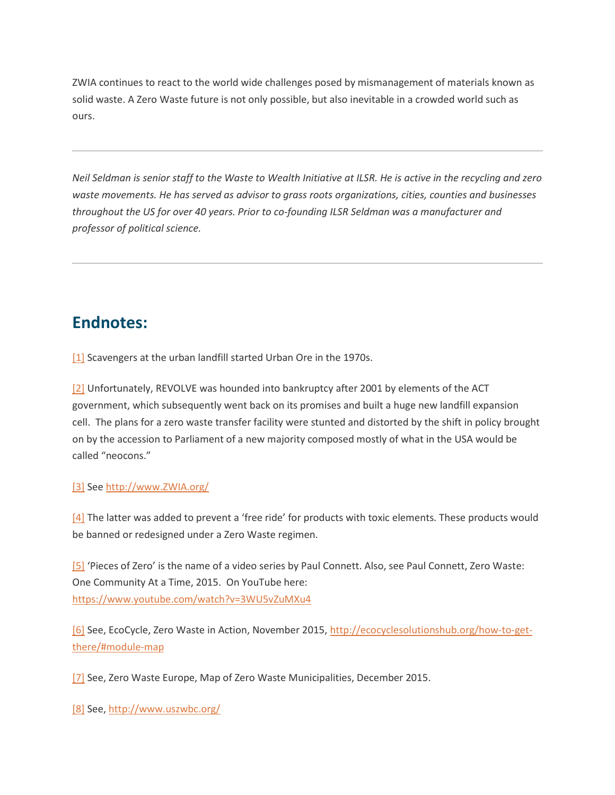ZWIA continues to react to the world wide challenges posed by mismanagement of materials known as solid waste. A Zero Waste future is not only possible, but also inevitable in a crowded world such as ours.

*Neil Seldman is senior staff to the Waste to Wealth Initiative at ILSR. He is active in the recycling and zero waste movements. He has served as advisor to grass roots organizations, cities, counties and businesses throughout the US for over 40 years. Prior to co-founding ILSR Seldman was a manufacturer and professor of political science.*

### **Endnotes:**

[\[1\]](https://ilsr.org/zero-waste-a-short-history-and-program-description/#_ftnref) Scavengers at the urban landfill started Urban Ore in the 1970s.

[\[2\]](https://ilsr.org/zero-waste-a-short-history-and-program-description/#_ftnref) Unfortunately, REVOLVE was hounded into bankruptcy after 2001 by elements of the ACT government, which subsequently went back on its promises and built a huge new landfill expansion cell. The plans for a zero waste transfer facility were stunted and distorted by the shift in policy brought on by the accession to Parliament of a new majority composed mostly of what in the USA would be called "neocons."

#### [\[3\]](https://ilsr.org/zero-waste-a-short-history-and-program-description/#_ftnref) See [http://www.ZWIA.org/](http://www.zwia.org/)

 $[4]$  The latter was added to prevent a 'free ride' for products with toxic elements. These products would be banned or redesigned under a Zero Waste regimen.

[\[5\]](https://ilsr.org/zero-waste-a-short-history-and-program-description/#_ftnref) 'Pieces of Zero' is the name of a video series by Paul Connett. Also, see Paul Connett, Zero Waste: One Community At a Time, 2015. On YouTube here: <https://www.youtube.com/watch?v=3WU5vZuMXu4>

[\[6\]](https://ilsr.org/zero-waste-a-short-history-and-program-description/#_ftnref) See, EcoCycle, Zero Waste in Action, November 2015[, http://ecocyclesolutionshub.org/how-to-get](http://ecocyclesolutionshub.org/how-to-get-there/#module-map)[there/#module-map](http://ecocyclesolutionshub.org/how-to-get-there/#module-map)

[\[7\]](https://ilsr.org/zero-waste-a-short-history-and-program-description/#_ftnref) See, Zero Waste Europe, Map of Zero Waste Municipalities, December 2015.

[\[8\]](https://ilsr.org/zero-waste-a-short-history-and-program-description/#_ftnref) See,<http://www.uszwbc.org/>